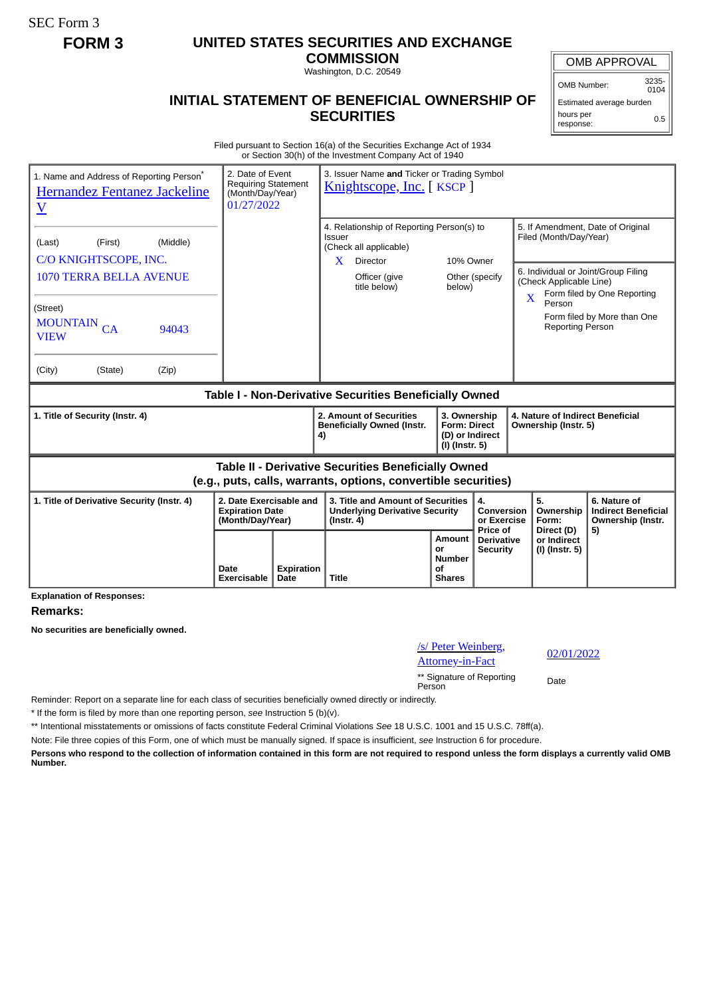SEC Form 3

## **FORM 3 UNITED STATES SECURITIES AND EXCHANGE**

**COMMISSION** Washington, D.C. 20549

## **INITIAL STATEMENT OF BENEFICIAL OWNERSHIP OF SECURITIES**

OMB APPROVAL

OMB Number: 3235-  $0104$ 

Estimated average burden hours per response: 0.5

Filed pursuant to Section 16(a) of the Securities Exchange Act of 1934 or Section 30(h) of the Investment Company Act of 1940

| 1. Name and Address of Reporting Person <sup>®</sup><br>Hernandez Fentanez Jackeline<br>$\underline{\text{V}}$               | 2. Date of Event<br><b>Requiring Statement</b><br>(Month/Day/Year)<br>01/27/2022 |                           |                                                                                                | 3. Issuer Name and Ticker or Trading Symbol<br>Knightscope, Inc. [KSCP] |                                                                            |                                             |                                                                                                                          |                                                                       |
|------------------------------------------------------------------------------------------------------------------------------|----------------------------------------------------------------------------------|---------------------------|------------------------------------------------------------------------------------------------|-------------------------------------------------------------------------|----------------------------------------------------------------------------|---------------------------------------------|--------------------------------------------------------------------------------------------------------------------------|-----------------------------------------------------------------------|
| (Middle)<br>(First)<br>(Last)<br>C/O KNIGHTSCOPE, INC.                                                                       |                                                                                  |                           | 4. Relationship of Reporting Person(s) to<br>Issuer<br>(Check all applicable)                  |                                                                         |                                                                            |                                             | 5. If Amendment, Date of Original<br>Filed (Month/Day/Year)                                                              |                                                                       |
| 1070 TERRA BELLA AVENUE                                                                                                      |                                                                                  |                           | X                                                                                              | Director<br>Officer (give<br>title below)                               | 10% Owner<br>Other (specify<br>below)                                      |                                             | 6. Individual or Joint/Group Filing<br>(Check Applicable Line)<br>Form filed by One Reporting<br>$\overline{\mathbf{X}}$ |                                                                       |
| (Street)<br><b>MOUNTAIN</b><br>CA<br>94043<br><b>VIEW</b>                                                                    |                                                                                  |                           |                                                                                                |                                                                         |                                                                            |                                             | Person<br><b>Reporting Person</b>                                                                                        | Form filed by More than One                                           |
| (Zip)<br>(City)<br>(State)                                                                                                   |                                                                                  |                           |                                                                                                |                                                                         |                                                                            |                                             |                                                                                                                          |                                                                       |
| Table I - Non-Derivative Securities Beneficially Owned                                                                       |                                                                                  |                           |                                                                                                |                                                                         |                                                                            |                                             |                                                                                                                          |                                                                       |
| 1. Title of Security (Instr. 4)                                                                                              |                                                                                  |                           | 4)                                                                                             | 2. Amount of Securities<br><b>Beneficially Owned (Instr.</b>            | 3. Ownership<br><b>Form: Direct</b><br>(D) or Indirect<br>$(I)$ (Instr. 5) |                                             | 4. Nature of Indirect Beneficial<br>Ownership (Instr. 5)                                                                 |                                                                       |
| <b>Table II - Derivative Securities Beneficially Owned</b><br>(e.g., puts, calls, warrants, options, convertible securities) |                                                                                  |                           |                                                                                                |                                                                         |                                                                            |                                             |                                                                                                                          |                                                                       |
| 2. Date Exercisable and<br>1. Title of Derivative Security (Instr. 4)<br><b>Expiration Date</b><br>(Month/Day/Year)          |                                                                                  |                           | 3. Title and Amount of Securities<br><b>Underlying Derivative Security</b><br>$($ Instr. 4 $)$ |                                                                         |                                                                            | 4.<br>Conversion<br>or Exercise<br>Price of | 5.<br>Ownership<br>Form:<br>Direct (D)                                                                                   | 6. Nature of<br><b>Indirect Beneficial</b><br>Ownership (Instr.<br>5) |
|                                                                                                                              | Date<br>Exercisable                                                              | <b>Expiration</b><br>Date | <b>Title</b>                                                                                   |                                                                         | Amount<br>or<br><b>Number</b><br>οf<br><b>Shares</b>                       | <b>Derivative</b><br><b>Security</b>        | or Indirect<br>(I) (Instr. 5)                                                                                            |                                                                       |

**Explanation of Responses:**

## **Remarks:**

**No securities are beneficially owned.**

/s/ Peter Weinberg, <u>S/ Peter weinberg</u>,<br>Attorney-in-Fact 02/01/2022

\*\* Signature of Reporting Person Date

Reminder: Report on a separate line for each class of securities beneficially owned directly or indirectly.

\* If the form is filed by more than one reporting person, *see* Instruction 5 (b)(v).

\*\* Intentional misstatements or omissions of facts constitute Federal Criminal Violations *See* 18 U.S.C. 1001 and 15 U.S.C. 78ff(a).

Note: File three copies of this Form, one of which must be manually signed. If space is insufficient, *see* Instruction 6 for procedure.

**Persons who respond to the collection of information contained in this form are not required to respond unless the form displays a currently valid OMB Number.**